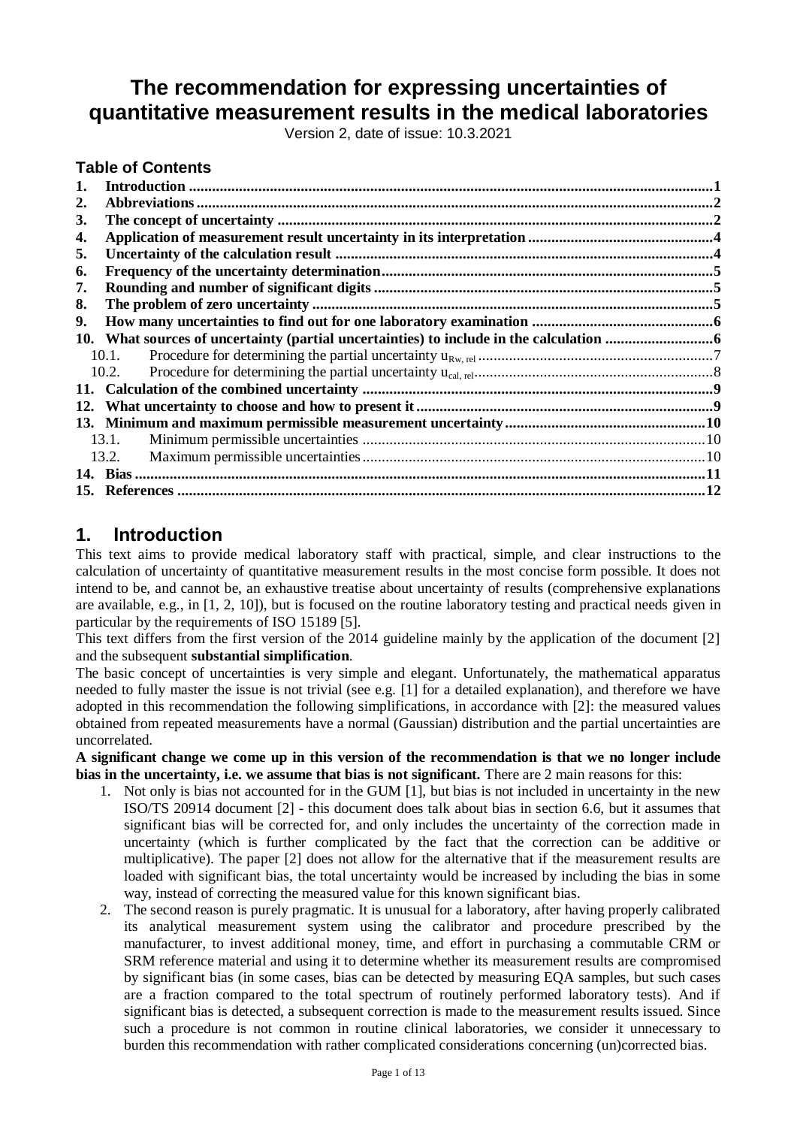# **The recommendation for expressing uncertainties of quantitative measurement results in the medical laboratories**

Version 2, date of issue: 10.3.2021

#### **Table of Contents**

| 1.  |       |  |
|-----|-------|--|
| 2.  |       |  |
| 3.  |       |  |
| 4.  |       |  |
| 5.  |       |  |
| 6.  |       |  |
| 7.  |       |  |
| 8.  |       |  |
| 9.  |       |  |
|     |       |  |
|     | 10.1. |  |
|     | 10.2. |  |
|     |       |  |
| 12. |       |  |
|     |       |  |
|     | 13.1. |  |
|     | 13.2. |  |
|     |       |  |
|     |       |  |

### <span id="page-0-0"></span>**1. Introduction**

This text aims to provide medical laboratory staff with practical, simple, and clear instructions to the calculation of uncertainty of quantitative measurement results in the most concise form possible. It does not intend to be, and cannot be, an exhaustive treatise about uncertainty of results (comprehensive explanations are available, e.g., in [1, 2, 10]), but is focused on the routine laboratory testing and practical needs given in particular by the requirements of ISO 15189 [5].

This text differs from the first version of the 2014 guideline mainly by the application of the document [2] and the subsequent **substantial simplification**.

The basic concept of uncertainties is very simple and elegant. Unfortunately, the mathematical apparatus needed to fully master the issue is not trivial (see e.g. [1] for a detailed explanation), and therefore we have adopted in this recommendation the following simplifications, in accordance with [2]: the measured values obtained from repeated measurements have a normal (Gaussian) distribution and the partial uncertainties are uncorrelated.

**A significant change we come up in this version of the recommendation is that we no longer include bias in the uncertainty, i.e. we assume that bias is not significant.** There are 2 main reasons for this:

- 1. Not only is bias not accounted for in the GUM [1], but bias is not included in uncertainty in the new ISO/TS 20914 document [2] - this document does talk about bias in section 6.6, but it assumes that significant bias will be corrected for, and only includes the uncertainty of the correction made in uncertainty (which is further complicated by the fact that the correction can be additive or multiplicative). The paper [2] does not allow for the alternative that if the measurement results are loaded with significant bias, the total uncertainty would be increased by including the bias in some way, instead of correcting the measured value for this known significant bias.
- 2. The second reason is purely pragmatic. It is unusual for a laboratory, after having properly calibrated its analytical measurement system using the calibrator and procedure prescribed by the manufacturer, to invest additional money, time, and effort in purchasing a commutable CRM or SRM reference material and using it to determine whether its measurement results are compromised by significant bias (in some cases, bias can be detected by measuring EQA samples, but such cases are a fraction compared to the total spectrum of routinely performed laboratory tests). And if significant bias is detected, a subsequent correction is made to the measurement results issued. Since such a procedure is not common in routine clinical laboratories, we consider it unnecessary to burden this recommendation with rather complicated considerations concerning (un)corrected bias.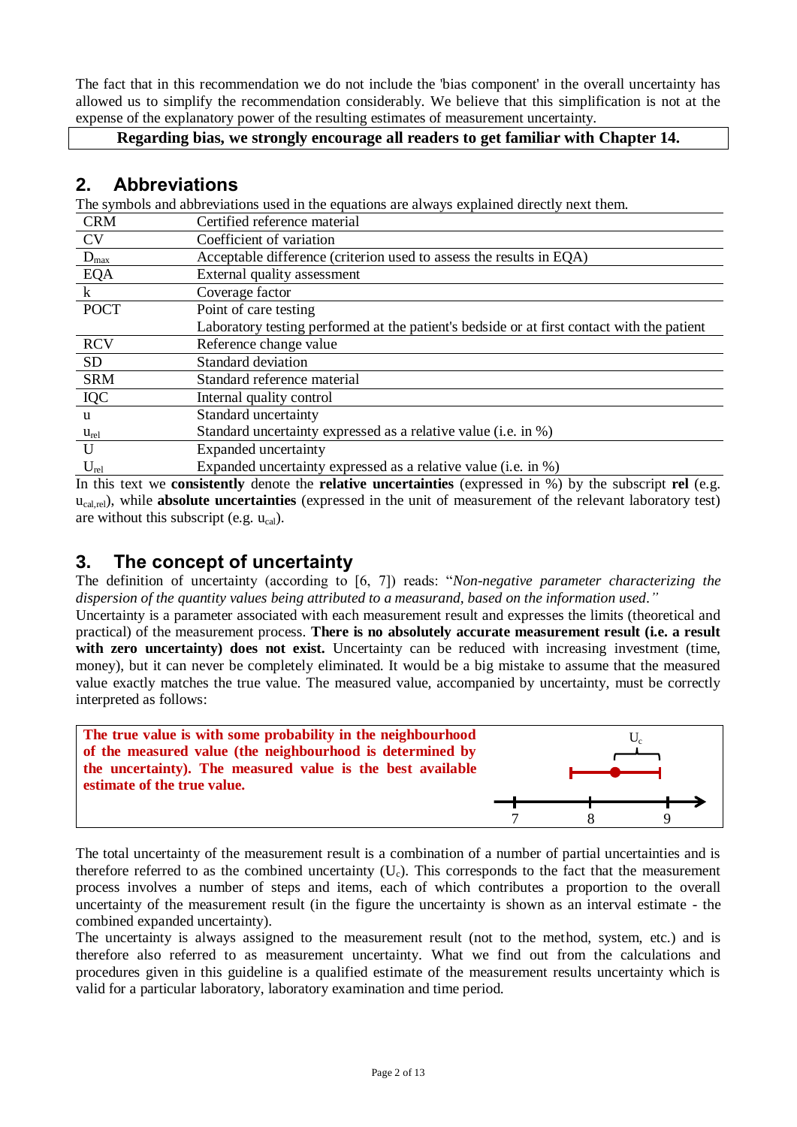The fact that in this recommendation we do not include the 'bias component' in the overall uncertainty has allowed us to simplify the recommendation considerably. We believe that this simplification is not at the expense of the explanatory power of the resulting estimates of measurement uncertainty.

#### **Regarding bias, we strongly encourage all readers to get familiar with Chapter 14.**

### <span id="page-1-0"></span>**2. Abbreviations**

The symbols and abbreviations used in the equations are always explained directly next them.

| <b>CRM</b>   | Certified reference material                                                               |
|--------------|--------------------------------------------------------------------------------------------|
| <b>CV</b>    | Coefficient of variation                                                                   |
| $D_{max}$    | Acceptable difference (criterion used to assess the results in EQA)                        |
| EQA          | External quality assessment                                                                |
| $\mathbf{k}$ | Coverage factor                                                                            |
| <b>POCT</b>  | Point of care testing                                                                      |
|              | Laboratory testing performed at the patient's bedside or at first contact with the patient |
| <b>RCV</b>   | Reference change value                                                                     |
| <b>SD</b>    | Standard deviation                                                                         |
| <b>SRM</b>   | Standard reference material                                                                |
| <b>IQC</b>   | Internal quality control                                                                   |
| u            | Standard uncertainty                                                                       |
| $u_{rel}$    | Standard uncertainty expressed as a relative value (i.e. in %)                             |
| U            | Expanded uncertainty                                                                       |
| $U_{rel}$    | Expanded uncertainty expressed as a relative value (i.e. in %)                             |

In this text we **consistently** denote the **relative uncertainties** (expressed in %) by the subscript **rel** (e.g. ucal,rel), while **absolute uncertainties** (expressed in the unit of measurement of the relevant laboratory test) are without this subscript (e.g.  $u_{cal}$ ).

## <span id="page-1-1"></span>**3. The concept of uncertainty**

The definition of uncertainty (according to [6, 7]) reads: "*Non-negative parameter characterizing the dispersion of the quantity values being attributed to a measurand, based on the information used."*

Uncertainty is a parameter associated with each measurement result and expresses the limits (theoretical and practical) of the measurement process. **There is no absolutely accurate measurement result (i.e. a result**  with zero uncertainty) does not exist. Uncertainty can be reduced with increasing investment (time, money), but it can never be completely eliminated. It would be a big mistake to assume that the measured value exactly matches the true value. The measured value, accompanied by uncertainty, must be correctly interpreted as follows:



The total uncertainty of the measurement result is a combination of a number of partial uncertainties and is therefore referred to as the combined uncertainty  $(U_c)$ . This corresponds to the fact that the measurement process involves a number of steps and items, each of which contributes a proportion to the overall uncertainty of the measurement result (in the figure the uncertainty is shown as an interval estimate - the combined expanded uncertainty).

The uncertainty is always assigned to the measurement result (not to the method, system, etc.) and is therefore also referred to as measurement uncertainty. What we find out from the calculations and procedures given in this guideline is a qualified estimate of the measurement results uncertainty which is valid for a particular laboratory, laboratory examination and time period.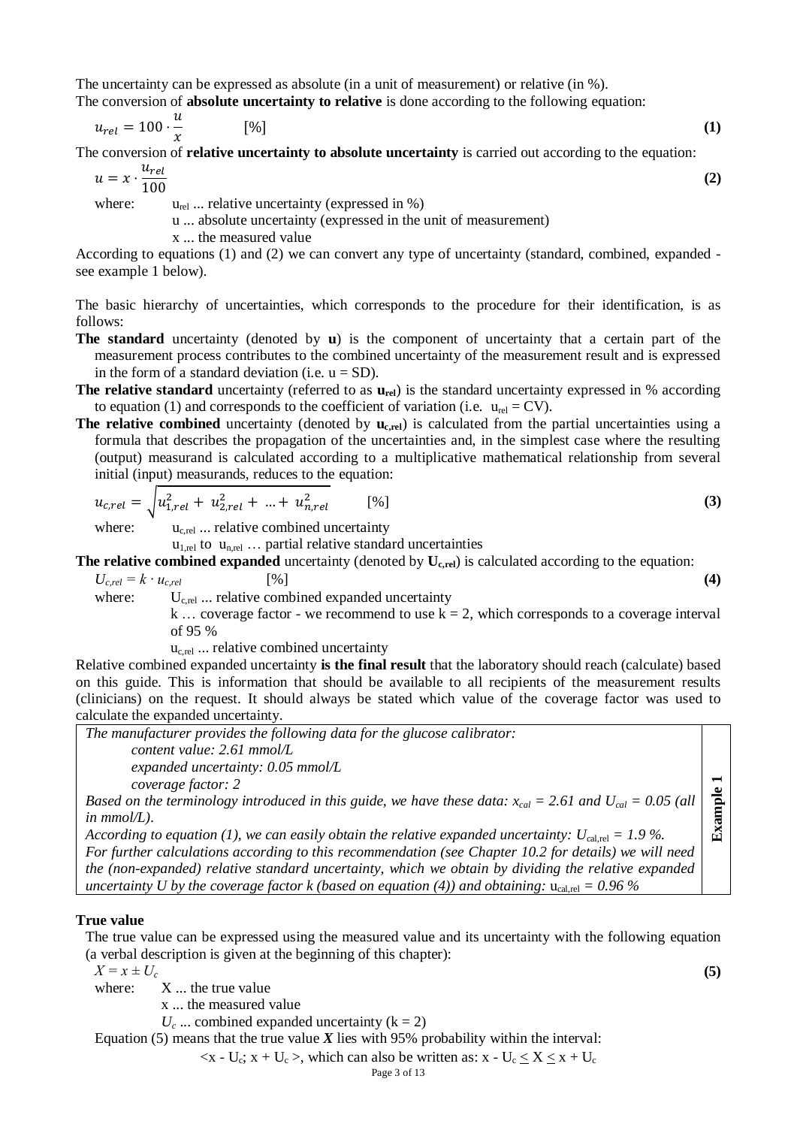The uncertainty can be expressed as absolute (in a unit of measurement) or relative (in %). The conversion of **absolute uncertainty to relative** is done according to the following equation:

$$
u_{rel} = 100 \cdot \frac{u}{x} \tag{1}
$$

The conversion of **relative uncertainty to absolute uncertainty** is carried out according to the equation:

$$
u = x \cdot \frac{u_{rel}}{100}
$$
 (2)

$$
x = x \cdot \frac{10}{10}
$$

where:  $u_{rel}$  ... relative uncertainty (expressed in %)

u ... absolute uncertainty (expressed in the unit of measurement)

x ... the measured value

According to equations (1) and (2) we can convert any type of uncertainty (standard, combined, expanded see example 1 below).

The basic hierarchy of uncertainties, which corresponds to the procedure for their identification, is as follows:

- **The standard** uncertainty (denoted by **u**) is the component of uncertainty that a certain part of the measurement process contributes to the combined uncertainty of the measurement result and is expressed in the form of a standard deviation (i.e.  $u = SD$ ).
- **The relative standard** uncertainty (referred to as  $\mathbf{u}_{rel}$ ) is the standard uncertainty expressed in % according to equation (1) and corresponds to the coefficient of variation (i.e.  $u_{rel} = CV$ ).
- **The relative combined** uncertainty (denoted by  $\mathbf{u}_{\text{c,rel}}$ ) is calculated from the partial uncertainties using a formula that describes the propagation of the uncertainties and, in the simplest case where the resulting (output) measurand is calculated according to a multiplicative mathematical relationship from several initial (input) measurands, reduces to the equation:

$$
u_{c,rel} = \sqrt{u_{1,rel}^2 + u_{2,rel}^2 + \dots + u_{n,rel}^2}
$$
 [%)

where:  $u_{c,rel}$  ... relative combined uncertainty

 $u_{1,rel}$  to  $u_{n,rel}$  ... partial relative standard uncertainties

**The relative combined expanded** uncertainty (denoted by **Uc,rel**) is calculated according to the equation:

 $U_{c,rel} = k \cdot u_{c,rel}$  [%] **(4)** 

where:  $U_{\text{c,rel}}$  ... relative combined expanded uncertainty

k ... coverage factor - we recommend to use  $k = 2$ , which corresponds to a coverage interval of 95 %

 $u_{\text{c,rel}}$  ... relative combined uncertainty

Relative combined expanded uncertainty **is the final result** that the laboratory should reach (calculate) based on this guide. This is information that should be available to all recipients of the measurement results (clinicians) on the request. It should always be stated which value of the coverage factor was used to calculate the expanded uncertainty.

| The manufacturer provides the following data for the glucose calibrator:                                          |   |
|-------------------------------------------------------------------------------------------------------------------|---|
| content value: $2.61$ mmol/L                                                                                      |   |
| expanded uncertainty: $0.05$ mmol/L                                                                               |   |
| coverage factor: 2                                                                                                |   |
| Based on the terminology introduced in this guide, we have these data: $x_{cal} = 2.61$ and $U_{cal} = 0.05$ (all | 힐 |
| in $mmol/L$ ).                                                                                                    |   |
| According to equation (1), we can easily obtain the relative expanded uncertainty: $U_{\text{cal}} = 1.9 \%$ .    |   |
| For further calculations according to this recommendation (see Chapter 10.2 for details) we will need             |   |
| the (non-expanded) relative standard uncertainty, which we obtain by dividing the relative expanded               |   |
| uncertainty U by the coverage factor k (based on equation (4)) and obtaining: $u_{cal,rel} = 0.96\%$              |   |

#### **True value**

The true value can be expressed using the measured value and its uncertainty with the following equation (a verbal description is given at the beginning of this chapter):

 $X = x \pm U_c$  (5)

where:  $X$  ... the true value

x ... the measured value

 $U_c$  ... combined expanded uncertainty ( $k = 2$ )

Equation (5) means that the true value  $X$  lies with 95% probability within the interval:

 $\langle x - U_c; x + U_c \rangle$ , which can also be written as:  $x - U_c \le X \le x + U_c$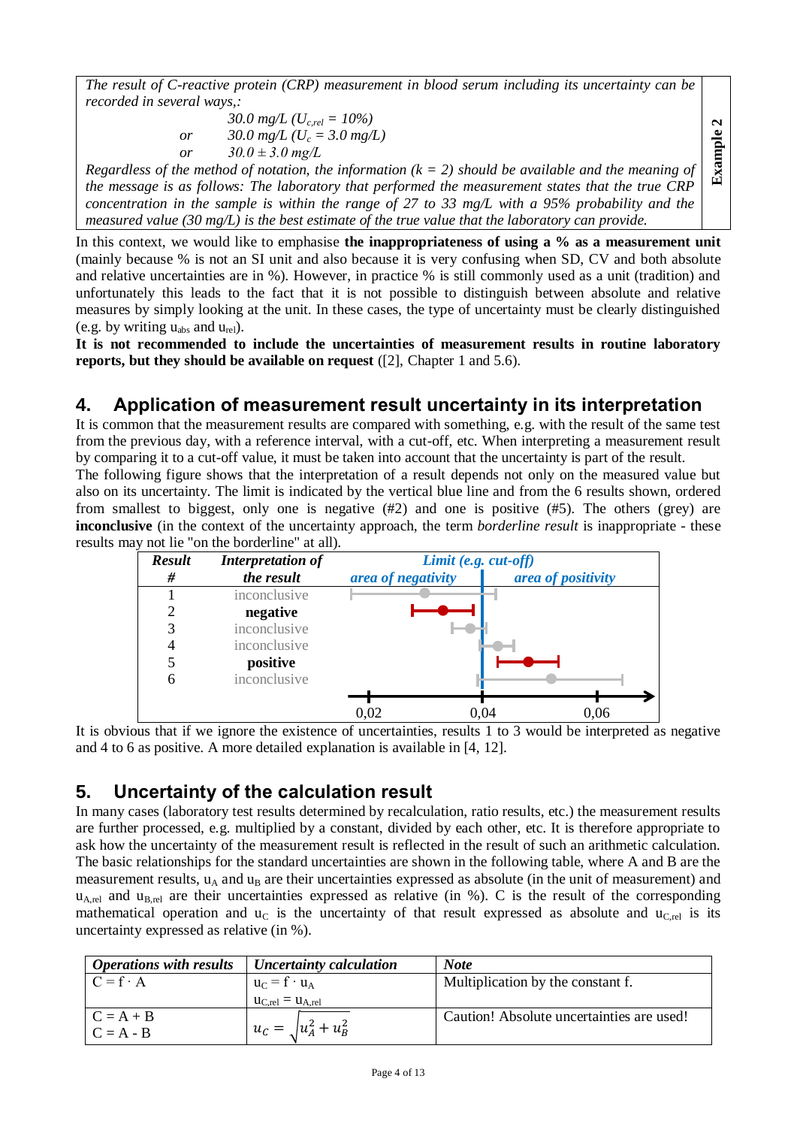*The result of C-reactive protein (CRP) measurement in blood serum including its uncertainty can be recorded in several ways,:*

30.0 mg/L (
$$
U_{c,rel} = 10\%
$$
)  
or 30.0 mg/L ( $U_c = 3.0$  mg/L)  
or 30.0 ± 3.0 mg/L

*Regardless of the method of notation, the information*  $(k = 2)$  *should be available and the meaning of the message is as follows: The laboratory that performed the measurement states that the true CRP concentration in the sample is within the range of 27 to 33 mg/L with a 95% probability and the measured value (30 mg/L) is the best estimate of the true value that the laboratory can provide.*

**Example 2**

In this context, we would like to emphasise **the inappropriateness of using a % as a measurement unit** (mainly because % is not an SI unit and also because it is very confusing when SD, CV and both absolute and relative uncertainties are in %). However, in practice % is still commonly used as a unit (tradition) and unfortunately this leads to the fact that it is not possible to distinguish between absolute and relative measures by simply looking at the unit. In these cases, the type of uncertainty must be clearly distinguished (e.g. by writing  $u_{\text{abs}}$  and  $u_{\text{rel}}$ ).

**It is not recommended to include the uncertainties of measurement results in routine laboratory reports, but they should be available on request** ([2], Chapter 1 and 5.6).

## <span id="page-3-0"></span>**4. Application of measurement result uncertainty in its interpretation**

It is common that the measurement results are compared with something, e.g. with the result of the same test from the previous day, with a reference interval, with a cut-off, etc. When interpreting a measurement result by comparing it to a cut-off value, it must be taken into account that the uncertainty is part of the result.

The following figure shows that the interpretation of a result depends not only on the measured value but also on its uncertainty. The limit is indicated by the vertical blue line and from the 6 results shown, ordered from smallest to biggest, only one is negative  $(\#2)$  and one is positive  $(\#5)$ . The others (grey) are **inconclusive** (in the context of the uncertainty approach, the term *borderline result* is inappropriate - these results may not lie "on the borderline" at all).



It is obvious that if we ignore the existence of uncertainties, results 1 to 3 would be interpreted as negative and 4 to 6 as positive. A more detailed explanation is available in [4, 12].

## <span id="page-3-1"></span>**5. Uncertainty of the calculation result**

In many cases (laboratory test results determined by recalculation, ratio results, etc.) the measurement results are further processed, e.g. multiplied by a constant, divided by each other, etc. It is therefore appropriate to ask how the uncertainty of the measurement result is reflected in the result of such an arithmetic calculation. The basic relationships for the standard uncertainties are shown in the following table, where A and B are the measurement results,  $u_A$  and  $u_B$  are their uncertainties expressed as absolute (in the unit of measurement) and  $u_{A,rel}$  and  $u_{B,rel}$  are their uncertainties expressed as relative (in %). C is the result of the corresponding mathematical operation and  $u<sub>C</sub>$  is the uncertainty of that result expressed as absolute and  $u<sub>C,rel</sub>$  is its uncertainty expressed as relative (in %).

| <b>Operations with results</b> | Uncertainty calculation      | <b>Note</b>                               |
|--------------------------------|------------------------------|-------------------------------------------|
| $C = f \cdot A$                | $u_C = f \cdot u_A$          | Multiplication by the constant f.         |
|                                | $u_{C,rel} = u_{A,rel}$      |                                           |
| $C = A + B$                    |                              | Caution! Absolute uncertainties are used! |
| $C = A - B$                    | $u_C = \sqrt{u_A^2 + u_B^2}$ |                                           |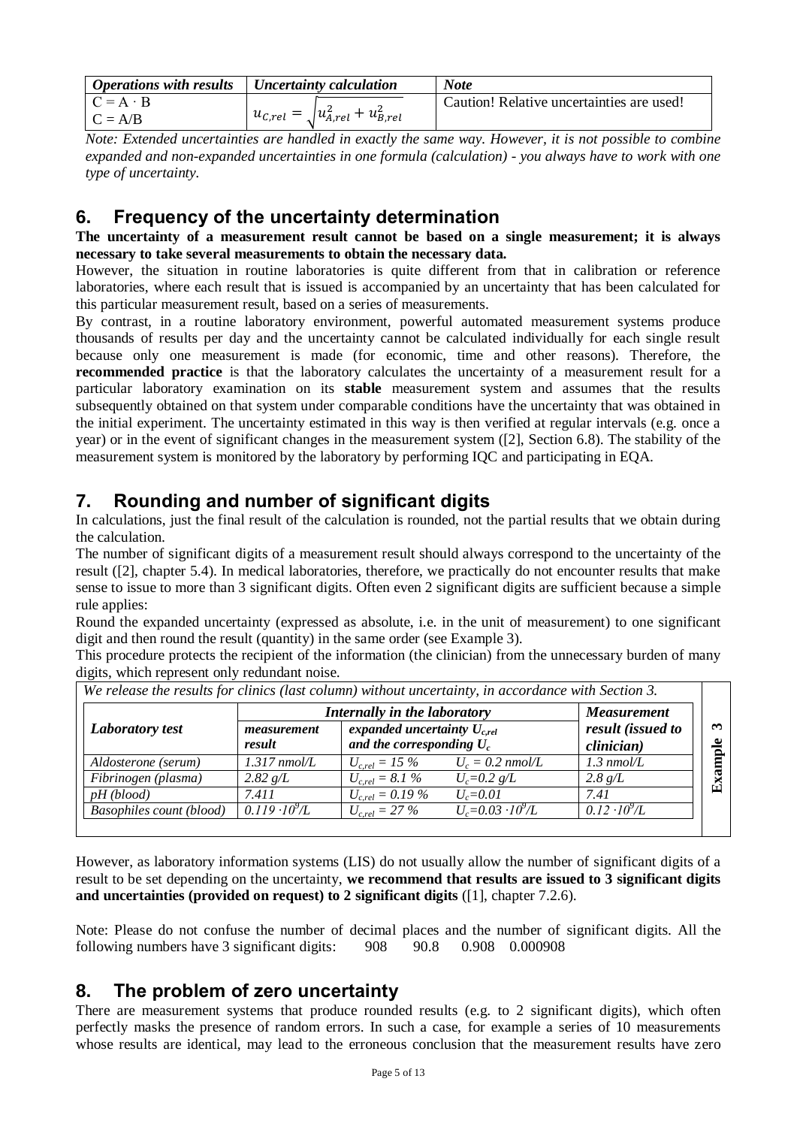| <b>Operations with results</b> $\vert$ Uncertainty calculation |                                                | Note                                      |
|----------------------------------------------------------------|------------------------------------------------|-------------------------------------------|
| $C = A \cdot B$                                                |                                                | Caution! Relative uncertainties are used! |
| $C = A/B$                                                      | $u_{c,rel} = \sqrt{u_{A,rel}^2 + u_{B,rel}^2}$ |                                           |

*Note: Extended uncertainties are handled in exactly the same way. However, it is not possible to combine expanded and non-expanded uncertainties in one formula (calculation) - you always have to work with one type of uncertainty.*

## <span id="page-4-0"></span>**6. Frequency of the uncertainty determination**

**The uncertainty of a measurement result cannot be based on a single measurement; it is always necessary to take several measurements to obtain the necessary data.**

However, the situation in routine laboratories is quite different from that in calibration or reference laboratories, where each result that is issued is accompanied by an uncertainty that has been calculated for this particular measurement result, based on a series of measurements.

By contrast, in a routine laboratory environment, powerful automated measurement systems produce thousands of results per day and the uncertainty cannot be calculated individually for each single result because only one measurement is made (for economic, time and other reasons). Therefore, the **recommended practice** is that the laboratory calculates the uncertainty of a measurement result for a particular laboratory examination on its **stable** measurement system and assumes that the results subsequently obtained on that system under comparable conditions have the uncertainty that was obtained in the initial experiment. The uncertainty estimated in this way is then verified at regular intervals (e.g. once a year) or in the event of significant changes in the measurement system ([2], Section 6.8). The stability of the measurement system is monitored by the laboratory by performing IQC and participating in EQA.

## <span id="page-4-1"></span>**7. Rounding and number of significant digits**

In calculations, just the final result of the calculation is rounded, not the partial results that we obtain during the calculation.

The number of significant digits of a measurement result should always correspond to the uncertainty of the result ([2], chapter 5.4). In medical laboratories, therefore, we practically do not encounter results that make sense to issue to more than 3 significant digits. Often even 2 significant digits are sufficient because a simple rule applies:

Round the expanded uncertainty (expressed as absolute, i.e. in the unit of measurement) to one significant digit and then round the result (quantity) in the same order (see Example 3).

This procedure protects the recipient of the information (the clinician) from the unnecessary burden of many digits, which represent only redundant noise.

|                                 | Internally in the laboratory | <b>Measurement</b>   |                                                                 |                        |  |
|---------------------------------|------------------------------|----------------------|-----------------------------------------------------------------|------------------------|--|
| <b>Laboratory test</b>          | measurement<br>result        |                      | expanded uncertainty $U_{c,rel}$<br>and the corresponding $U_c$ |                        |  |
| Aldosterone (serum)             | $1.317$ nmol/L               | $U_{c,rel} = 15\%$   | $U_c = 0.2$ nmol/L                                              | $1.3 \text{ nmol/L}$   |  |
| Fibrinogen (plasma)             | 2.82 g/L                     | $U_{c,rel} = 8.1 \%$ | $U_c = 0.2 g/L$                                                 | 2.8 g/L                |  |
| $pH$ (blood)                    | 7.411                        | $U_{c,rel} = 0.19\%$ | $U_c = 0.01$                                                    | 7.41                   |  |
| <b>Basophiles count (blood)</b> | $0.119 \cdot 10^{9} L$       | $U_{c,rel} = 27 \%$  | $U_c = 0.03 \cdot 10^9/L$                                       | $0.12 \cdot 10^{9}$ /L |  |

*We release the results for clinics (last column) without uncertainty, in accordance with Section 3.*

However, as laboratory information systems (LIS) do not usually allow the number of significant digits of a result to be set depending on the uncertainty, **we recommend that results are issued to 3 significant digits and uncertainties (provided on request) to 2 significant digits** ([1], chapter 7.2.6).

Note: Please do not confuse the number of decimal places and the number of significant digits. All the following numbers have 3 significant digits: 908 90.8 0.908 0.000908

## <span id="page-4-2"></span>**8. The problem of zero uncertainty**

There are measurement systems that produce rounded results (e.g. to 2 significant digits), which often perfectly masks the presence of random errors. In such a case, for example a series of 10 measurements whose results are identical, may lead to the erroneous conclusion that the measurement results have zero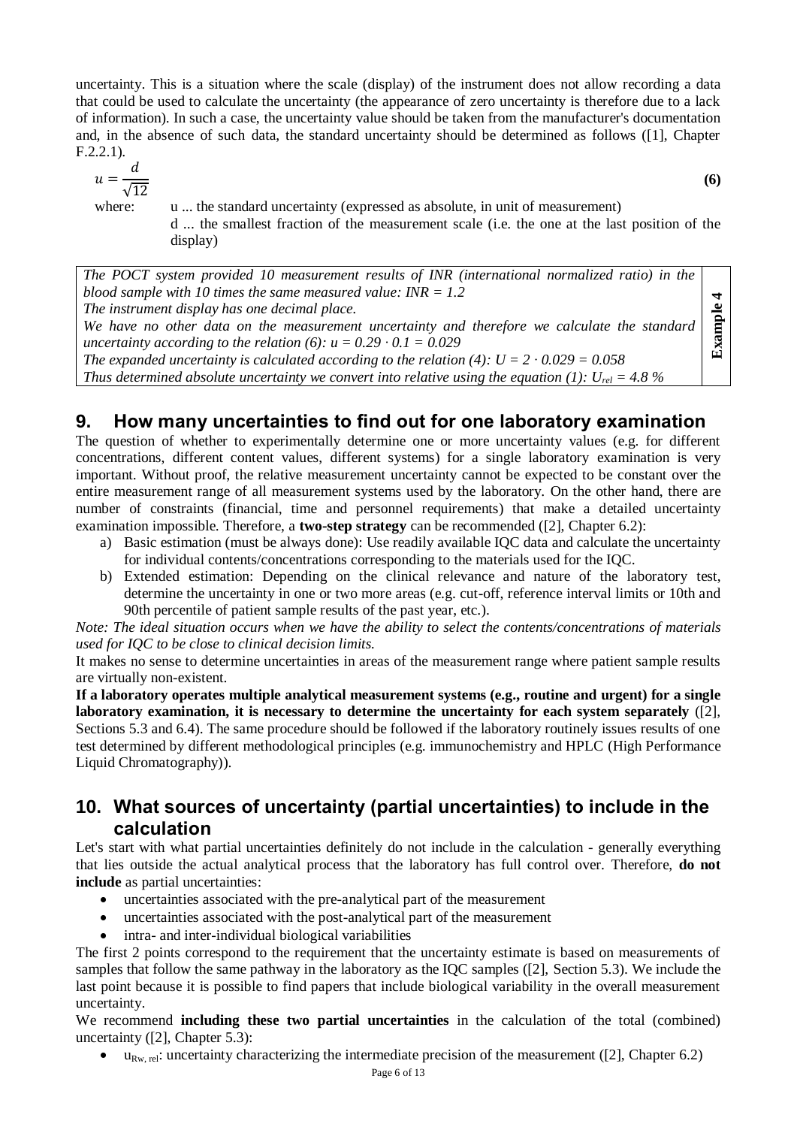uncertainty. This is a situation where the scale (display) of the instrument does not allow recording a data that could be used to calculate the uncertainty (the appearance of zero uncertainty is therefore due to a lack of information). In such a case, the uncertainty value should be taken from the manufacturer's documentation and, in the absence of such data, the standard uncertainty should be determined as follows ([1], Chapter F.2.2.1).

$$
u = \frac{d}{\sqrt{12}}
$$

where: u ... the standard uncertainty (expressed as absolute, in unit of measurement)

d ... the smallest fraction of the measurement scale (i.e. the one at the last position of the display)

**(6)**

*The POCT system provided 10 measurement results of INR (international normalized ratio) in the blood sample with 10 times the same measured value: INR = 1.2 The instrument display has one decimal place. We have no other data on the measurement uncertainty and therefore we calculate the standard uncertainty according to the relation (6):*  $u = 0.29 \cdot 0.1 = 0.029$ *The expanded uncertainty is calculated according to the relation (4): U = 2 · 0.029 = 0.058 Thus determined absolute uncertainty we convert into relative using the equation* (1):  $U_{rel} = 4.8 \%$ **Example 4**

## <span id="page-5-0"></span>**9. How many uncertainties to find out for one laboratory examination**

The question of whether to experimentally determine one or more uncertainty values (e.g. for different concentrations, different content values, different systems) for a single laboratory examination is very important. Without proof, the relative measurement uncertainty cannot be expected to be constant over the entire measurement range of all measurement systems used by the laboratory. On the other hand, there are number of constraints (financial, time and personnel requirements) that make a detailed uncertainty examination impossible. Therefore, a **two-step strategy** can be recommended ([2], Chapter 6.2):

- a) Basic estimation (must be always done): Use readily available IQC data and calculate the uncertainty for individual contents/concentrations corresponding to the materials used for the IQC.
- b) Extended estimation: Depending on the clinical relevance and nature of the laboratory test, determine the uncertainty in one or two more areas (e.g. cut-off, reference interval limits or 10th and 90th percentile of patient sample results of the past year, etc.).

*Note: The ideal situation occurs when we have the ability to select the contents/concentrations of materials used for IQC to be close to clinical decision limits.*

It makes no sense to determine uncertainties in areas of the measurement range where patient sample results are virtually non-existent.

**If a laboratory operates multiple analytical measurement systems (e.g., routine and urgent) for a single laboratory examination, it is necessary to determine the uncertainty for each system separately** ([2], Sections 5.3 and 6.4). The same procedure should be followed if the laboratory routinely issues results of one test determined by different methodological principles (e.g. immunochemistry and HPLC (High Performance Liquid Chromatography)).

## <span id="page-5-1"></span>**10. What sources of uncertainty (partial uncertainties) to include in the calculation**

Let's start with what partial uncertainties definitely do not include in the calculation - generally everything that lies outside the actual analytical process that the laboratory has full control over. Therefore, **do not include** as partial uncertainties:

- uncertainties associated with the pre-analytical part of the measurement
- uncertainties associated with the post-analytical part of the measurement
- intra- and inter-individual biological variabilities

The first 2 points correspond to the requirement that the uncertainty estimate is based on measurements of samples that follow the same pathway in the laboratory as the IQC samples ([2], Section 5.3). We include the last point because it is possible to find papers that include biological variability in the overall measurement uncertainty.

We recommend **including these two partial uncertainties** in the calculation of the total (combined) uncertainty ([2], Chapter 5.3):

 $\bullet$  u<sub>Rw rel</sub>: uncertainty characterizing the intermediate precision of the measurement ([2], Chapter 6.2)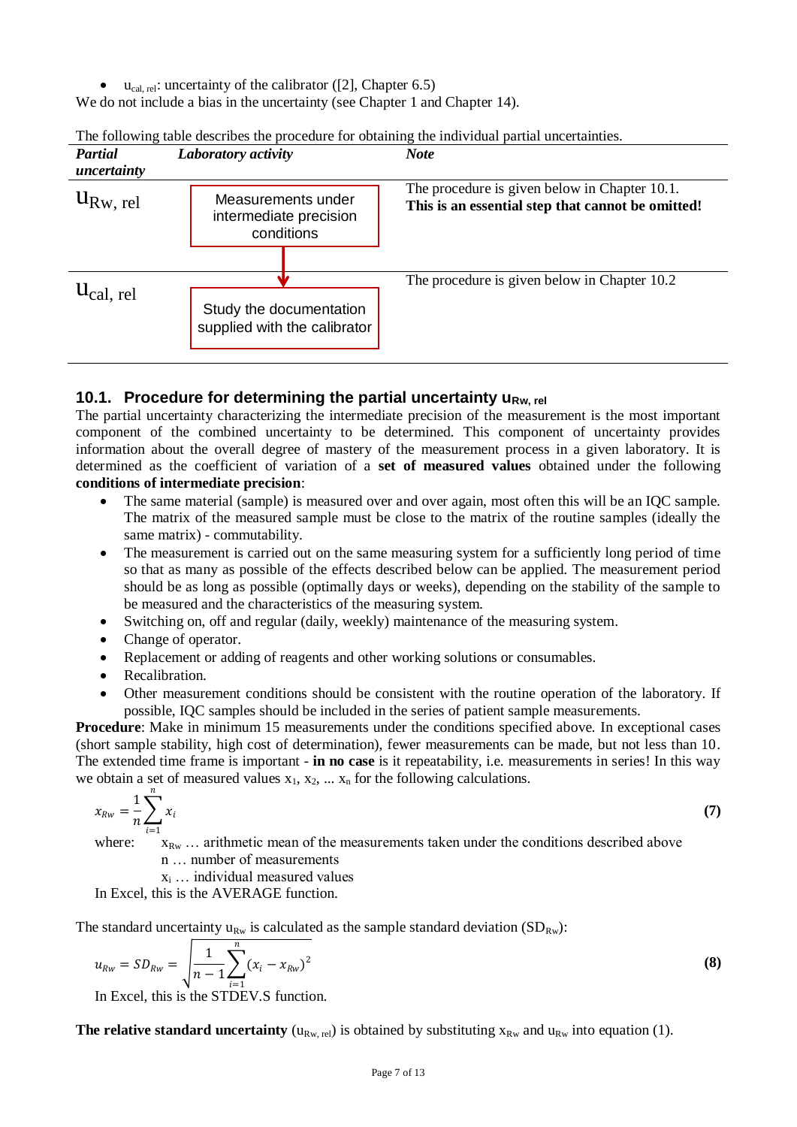$\bullet$  u<sub>cal, rel</sub>: uncertainty of the calibrator ([2], Chapter 6.5)

We do not include a bias in the uncertainty (see Chapter 1 and Chapter 14).

| <b>Partial</b><br>uncertainty  | Laboratory activity                                        | <b>Note</b>                                                                                        |  |  |  |  |  |
|--------------------------------|------------------------------------------------------------|----------------------------------------------------------------------------------------------------|--|--|--|--|--|
| $u_{\text{Rw, rel}}$           | Measurements under<br>intermediate precision<br>conditions | The procedure is given below in Chapter 10.1.<br>This is an essential step that cannot be omitted! |  |  |  |  |  |
| $\mathsf{u}_{\text{cal, rel}}$ | Study the documentation<br>supplied with the calibrator    | The procedure is given below in Chapter 10.2                                                       |  |  |  |  |  |
|                                |                                                            |                                                                                                    |  |  |  |  |  |

| The following table describes the procedure for obtaining the individual partial uncertainties. |  |
|-------------------------------------------------------------------------------------------------|--|

#### <span id="page-6-0"></span>**10.1. Procedure for determining the partial uncertainty u<sub>Rw, rel</sub>**

The partial uncertainty characterizing the intermediate precision of the measurement is the most important component of the combined uncertainty to be determined. This component of uncertainty provides information about the overall degree of mastery of the measurement process in a given laboratory. It is determined as the coefficient of variation of a **set of measured values** obtained under the following **conditions of intermediate precision**:

- The same material (sample) is measured over and over again, most often this will be an IQC sample. The matrix of the measured sample must be close to the matrix of the routine samples (ideally the same matrix) - commutability.
- The measurement is carried out on the same measuring system for a sufficiently long period of time so that as many as possible of the effects described below can be applied. The measurement period should be as long as possible (optimally days or weeks), depending on the stability of the sample to be measured and the characteristics of the measuring system.
- Switching on, off and regular (daily, weekly) maintenance of the measuring system.
- Change of operator.
- Replacement or adding of reagents and other working solutions or consumables.
- Recalibration.
- Other measurement conditions should be consistent with the routine operation of the laboratory. If possible, IQC samples should be included in the series of patient sample measurements.

**Procedure**: Make in minimum 15 measurements under the conditions specified above. In exceptional cases (short sample stability, high cost of determination), fewer measurements can be made, but not less than 10. The extended time frame is important - **in no case** is it repeatability, i.e. measurements in series! In this way we obtain a set of measured values  $x_1, x_2, \ldots, x_n$  for the following calculations.

$$
x_{Rw} = \frac{1}{n} \sum_{i=1}^{n} x_i
$$
 (7)

where:  $X_{\text{Rw}}$  ... arithmetic mean of the measurements taken under the conditions described above

n … number of measurements x<sup>i</sup> … individual measured values

In Excel, this is the AVERAGE function.

The standard uncertainty  $u_{Rw}$  is calculated as the sample standard deviation (SD<sub>Rw</sub>):

$$
u_{Rw} = SD_{Rw} = \sqrt{\frac{1}{n-1} \sum_{i=1}^{n} (x_i - x_{Rw})^2}
$$
 (8)

In Excel, this is the STDEV.S function.

**The relative standard uncertainty**  $(u_{Rw, rel})$  is obtained by substituting  $x_{Rw}$  and  $u_{Rw}$  into equation (1).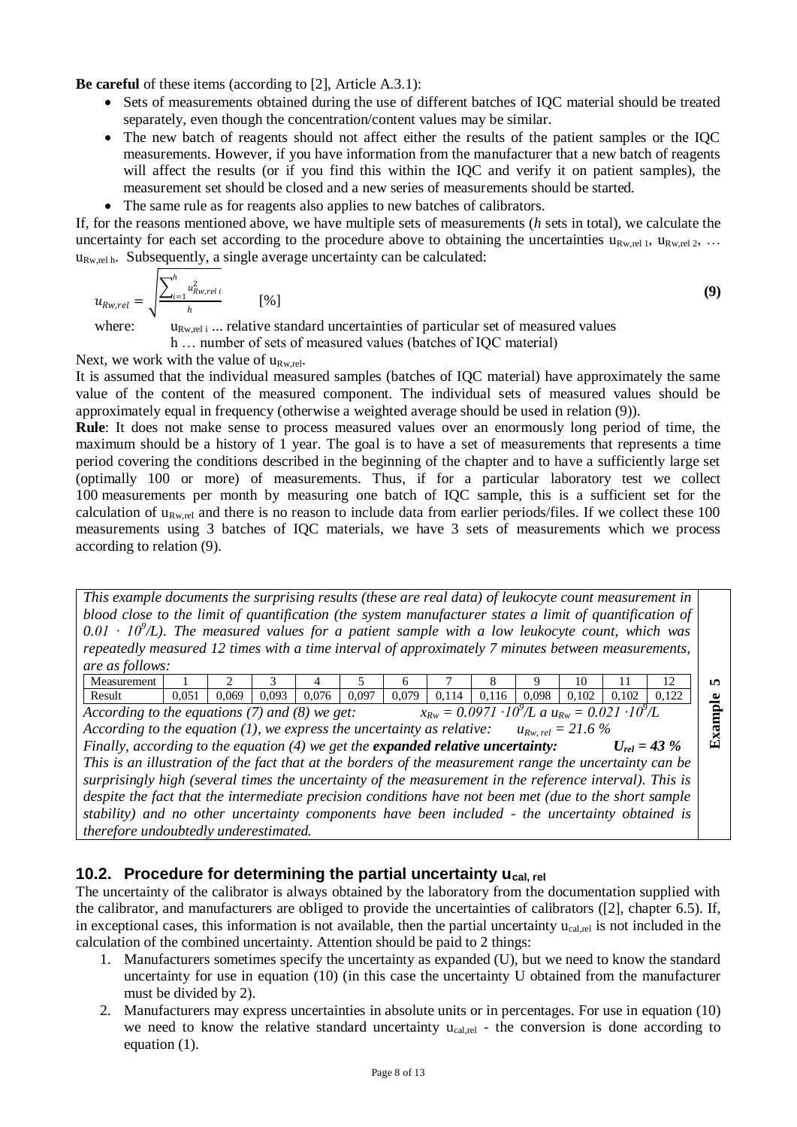**Be careful** of these items (according to [2], Article A.3.1):

- Sets of measurements obtained during the use of different batches of IQC material should be treated separately, even though the concentration/content values may be similar.
- The new batch of reagents should not affect either the results of the patient samples or the IQC measurements. However, if you have information from the manufacturer that a new batch of reagents will affect the results (or if you find this within the IQC and verify it on patient samples), the measurement set should be closed and a new series of measurements should be started.
- The same rule as for reagents also applies to new batches of calibrators.

If, for the reasons mentioned above, we have multiple sets of measurements (*h* sets in total), we calculate the uncertainty for each set according to the procedure above to obtaining the uncertainties  $u_{Rw,rel1}$ ,  $u_{Rw,rel2}$ , ...  $u_{Rw,rel}$  h. Subsequently, a single average uncertainty can be calculated:

$$
u_{Rw,rel} = \sqrt{\frac{\sum_{i=1}^{h} u_{Rw,rel}^2}{h}} \tag{9}
$$

where:

 $u_{Rw \text{ rel i}}$ ... relative standard uncertainties of particular set of measured values h … number of sets of measured values (batches of IQC material)

Next, we work with the value of  $u_{Bw,rel}$ .

It is assumed that the individual measured samples (batches of IQC material) have approximately the same value of the content of the measured component. The individual sets of measured values should be approximately equal in frequency (otherwise a weighted average should be used in relation (9)).

**Rule**: It does not make sense to process measured values over an enormously long period of time, the maximum should be a history of 1 year. The goal is to have a set of measurements that represents a time period covering the conditions described in the beginning of the chapter and to have a sufficiently large set (optimally 100 or more) of measurements. Thus, if for a particular laboratory test we collect 100 measurements per month by measuring one batch of IQC sample, this is a sufficient set for the calculation of  $u_{Rw,rel}$  and there is no reason to include data from earlier periods/files. If we collect these 100 measurements using 3 batches of IQC materials, we have 3 sets of measurements which we process according to relation (9).

*This example documents the surprising results (these are real data) of leukocyte count measurement in blood close to the limit of quantification (the system manufacturer states a limit of quantification of*   $0.01 \cdot 10^{9}/L$ ). The measured values for a patient sample with a low leukocyte count, which was *repeatedly measured 12 times with a time interval of approximately 7 minutes between measurements, are as follows:*

|                                                                                                                            | Measurement                                                                             |       |       |       |       |       |       |       |       |       | 10    |       |       | $\mathbf{r}$ |
|----------------------------------------------------------------------------------------------------------------------------|-----------------------------------------------------------------------------------------|-------|-------|-------|-------|-------|-------|-------|-------|-------|-------|-------|-------|--------------|
|                                                                                                                            | Result                                                                                  | 0.051 | 0.069 | 0.093 | 0.076 | 0.097 | 0.079 | 0.114 | 0.116 | 0.098 | 0.102 | 0.102 | 0.122 | $\bullet$    |
| $x_{Rw} = 0.0971 \cdot 10^{9}$ /L a $u_{Rw} = 0.021 \cdot 10^{9}$ /L<br>According to the equations $(7)$ and $(8)$ we get: |                                                                                         |       |       |       |       |       |       |       | ਨ     |       |       |       |       |              |
| According to the equation $(1)$ , we express the uncertainty as relative:<br>$u_{Rw. \ rel} = 21.6 \%$                     |                                                                                         |       |       |       |       |       |       |       |       |       |       |       |       |              |
|                                                                                                                            | Finally according to the equation (4) we get the <b>expanded relative uncertainty</b> : |       |       |       |       |       |       |       |       |       | Exa   |       |       |              |

*Finally, according to the equation (4) we get the expanded relative uncertainty: Urel = 43 % This is an illustration of the fact that at the borders of the measurement range the uncertainty can be surprisingly high (several times the uncertainty of the measurement in the reference interval). This is despite the fact that the intermediate precision conditions have not been met (due to the short sample stability) and no other uncertainty components have been included - the uncertainty obtained is therefore undoubtedly underestimated.*

#### <span id="page-7-0"></span>**10.2. Procedure for determining the partial uncertainty ucal, rel**

The uncertainty of the calibrator is always obtained by the laboratory from the documentation supplied with the calibrator, and manufacturers are obliged to provide the uncertainties of calibrators ([2], chapter 6.5). If, in exceptional cases, this information is not available, then the partial uncertainty  $u_{cal}$ <sub>cal,rel</sub> is not included in the calculation of the combined uncertainty. Attention should be paid to 2 things:

- 1. Manufacturers sometimes specify the uncertainty as expanded (U), but we need to know the standard uncertainty for use in equation (10) (in this case the uncertainty U obtained from the manufacturer must be divided by 2).
- 2. Manufacturers may express uncertainties in absolute units or in percentages. For use in equation (10) we need to know the relative standard uncertainty  $u_{cal,rel}$  - the conversion is done according to equation (1).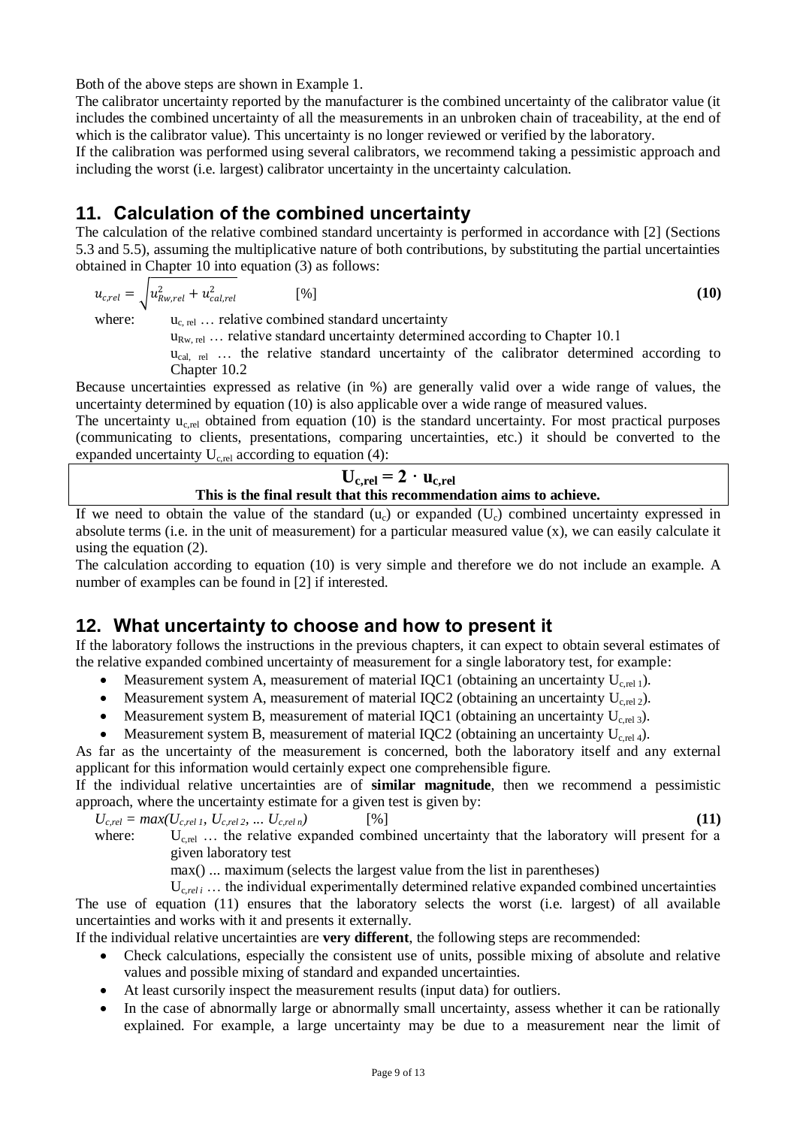Both of the above steps are shown in Example 1.

The calibrator uncertainty reported by the manufacturer is the combined uncertainty of the calibrator value (it includes the combined uncertainty of all the measurements in an unbroken chain of traceability, at the end of which is the calibrator value). This uncertainty is no longer reviewed or verified by the laboratory.

If the calibration was performed using several calibrators, we recommend taking a pessimistic approach and including the worst (i.e. largest) calibrator uncertainty in the uncertainty calculation.

## <span id="page-8-0"></span>**11. Calculation of the combined uncertainty**

The calculation of the relative combined standard uncertainty is performed in accordance with [2] (Sections 5.3 and 5.5), assuming the multiplicative nature of both contributions, by substituting the partial uncertainties obtained in Chapter 10 into equation (3) as follows:

$$
u_{c,rel} = \sqrt{u_{Rw,rel}^2 + u_{cal,rel}^2}
$$
 [%)

where:  $u_{\text{c, rel}}$  … relative combined standard uncertainty  $u_{\text{Rw, rel}}$  ... relative standard uncertainty determined according to Chapter 10.1

u<sub>cal, rel</sub> ... the relative standard uncertainty of the calibrator determined according to Chapter 10.2

Because uncertainties expressed as relative (in %) are generally valid over a wide range of values, the uncertainty determined by equation (10) is also applicable over a wide range of measured values.

The uncertainty  $u_{c,rel}$  obtained from equation (10) is the standard uncertainty. For most practical purposes (communicating to clients, presentations, comparing uncertainties, etc.) it should be converted to the expanded uncertainty  $U_{c,rel}$  according to equation (4):

#### $U_{c,rel} = 2 \cdot u_{c,rel}$ **This is the final result that this recommendation aims to achieve.**

If we need to obtain the value of the standard  $(u<sub>c</sub>)$  or expanded  $(U<sub>c</sub>)$  combined uncertainty expressed in absolute terms (i.e. in the unit of measurement) for a particular measured value (x), we can easily calculate it using the equation (2).

The calculation according to equation (10) is very simple and therefore we do not include an example. A number of examples can be found in [2] if interested.

## <span id="page-8-1"></span>**12. What uncertainty to choose and how to present it**

If the laboratory follows the instructions in the previous chapters, it can expect to obtain several estimates of the relative expanded combined uncertainty of measurement for a single laboratory test, for example:

- Measurement system A, measurement of material IQC1 (obtaining an uncertainty  $U_{c,rel}$ ).
- Measurement system A, measurement of material IQC2 (obtaining an uncertainty  $U_{c,rel,2}$ ).
- Measurement system B, measurement of material IQC1 (obtaining an uncertainty  $U_{\text{c,rel}}$ ).
- Measurement system B, measurement of material IQC2 (obtaining an uncertainty  $U_{c,rel}$ ).

As far as the uncertainty of the measurement is concerned, both the laboratory itself and any external applicant for this information would certainly expect one comprehensible figure.

If the individual relative uncertainties are of **similar magnitude**, then we recommend a pessimistic approach, where the uncertainty estimate for a given test is given by:

$$
U_{c,rel} = max(U_{c,rel}, U_{c,rel}, \dots U_{c,reln})
$$
\n(11)

\nwhere:

\n
$$
U_{c,rel} \dots U_{c,rel}
$$
\nthe relative expanded combined uncertainty that the laboratory will present for a given laboratory test

max() ... maximum (selects the largest value from the list in parentheses)

 $U_{c,rel i}$   $\ldots$  the individual experimentally determined relative expanded combined uncertainties The use of equation (11) ensures that the laboratory selects the worst (i.e. largest) of all available uncertainties and works with it and presents it externally.

If the individual relative uncertainties are **very different**, the following steps are recommended:

- Check calculations, especially the consistent use of units, possible mixing of absolute and relative values and possible mixing of standard and expanded uncertainties.
- At least cursorily inspect the measurement results (input data) for outliers.
- In the case of abnormally large or abnormally small uncertainty, assess whether it can be rationally explained. For example, a large uncertainty may be due to a measurement near the limit of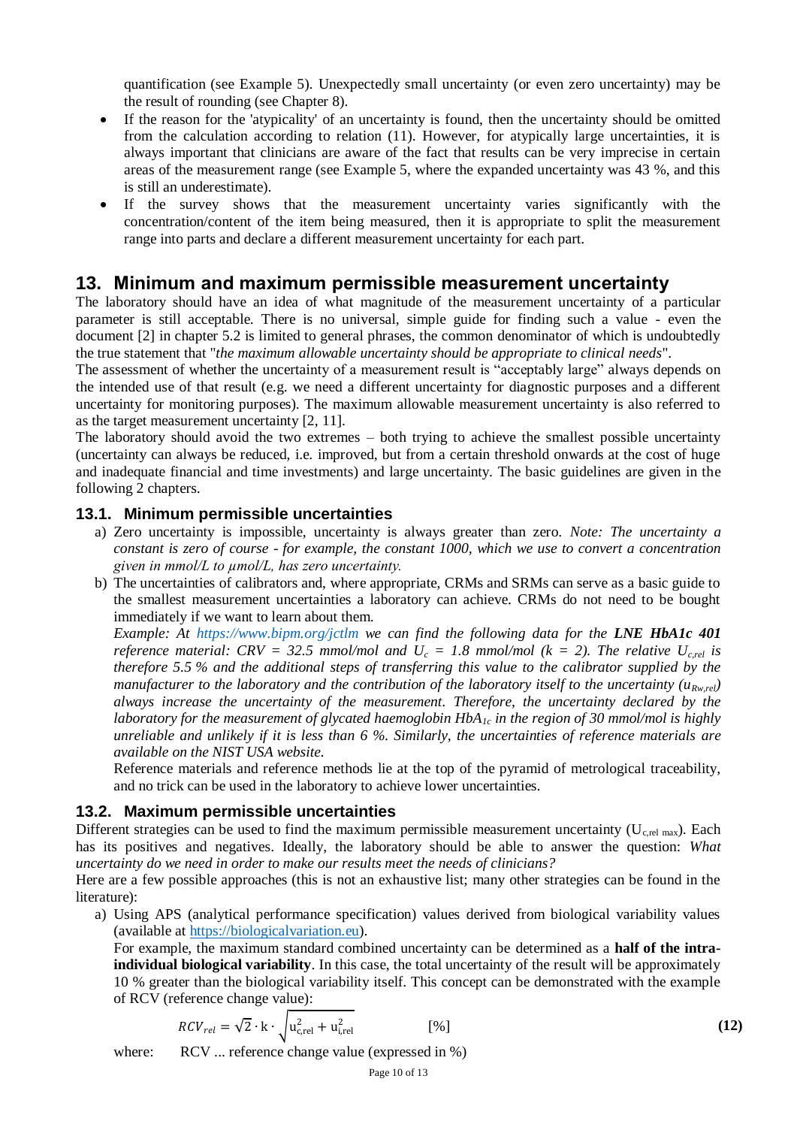quantification (see Example 5). Unexpectedly small uncertainty (or even zero uncertainty) may be the result of rounding (see Chapter 8).

- If the reason for the 'atypicality' of an uncertainty is found, then the uncertainty should be omitted from the calculation according to relation (11). However, for atypically large uncertainties, it is always important that clinicians are aware of the fact that results can be very imprecise in certain areas of the measurement range (see Example 5, where the expanded uncertainty was 43 %, and this is still an underestimate).
- If the survey shows that the measurement uncertainty varies significantly with the concentration/content of the item being measured, then it is appropriate to split the measurement range into parts and declare a different measurement uncertainty for each part.

#### <span id="page-9-0"></span>**13. Minimum and maximum permissible measurement uncertainty**

The laboratory should have an idea of what magnitude of the measurement uncertainty of a particular parameter is still acceptable. There is no universal, simple guide for finding such a value - even the document [2] in chapter 5.2 is limited to general phrases, the common denominator of which is undoubtedly the true statement that "*the maximum allowable uncertainty should be appropriate to clinical needs*".

The assessment of whether the uncertainty of a measurement result is "acceptably large" always depends on the intended use of that result (e.g. we need a different uncertainty for diagnostic purposes and a different uncertainty for monitoring purposes). The maximum allowable measurement uncertainty is also referred to as the target measurement uncertainty [2, 11].

The laboratory should avoid the two extremes – both trying to achieve the smallest possible uncertainty (uncertainty can always be reduced, i.e. improved, but from a certain threshold onwards at the cost of huge and inadequate financial and time investments) and large uncertainty. The basic guidelines are given in the following 2 chapters.

#### <span id="page-9-1"></span>**13.1. Minimum permissible uncertainties**

- a) Zero uncertainty is impossible, uncertainty is always greater than zero. *Note: The uncertainty a constant is zero of course - for example, the constant 1000, which we use to convert a concentration given in mmol/L to µmol/L, has zero uncertainty.*
- b) The uncertainties of calibrators and, where appropriate, CRMs and SRMs can serve as a basic guide to the smallest measurement uncertainties a laboratory can achieve. CRMs do not need to be bought immediately if we want to learn about them.

*Example: At <https://www.bipm.org/jctlm> we can find the following data for the LNE HbA1c 401 reference material: CRV = 32.5 mmol/mol and*  $U_c = 1.8$  *mmol/mol (k = 2). The relative*  $U_{c,rel}$  *is therefore 5.5 % and the additional steps of transferring this value to the calibrator supplied by the manufacturer to the laboratory and the contribution of the laboratory itself to the uncertainty (* $u_{Rw,rel}$ *) always increase the uncertainty of the measurement. Therefore, the uncertainty declared by the laboratory for the measurement of glycated haemoglobin HbA1c in the region of 30 mmol/mol is highly unreliable and unlikely if it is less than 6 %. Similarly, the uncertainties of reference materials are available on the NIST USA website.*

Reference materials and reference methods lie at the top of the pyramid of metrological traceability, and no trick can be used in the laboratory to achieve lower uncertainties.

#### <span id="page-9-2"></span>**13.2. Maximum permissible uncertainties**

Different strategies can be used to find the maximum permissible measurement uncertainty ( $U_{c,r}$  max). Each has its positives and negatives. Ideally, the laboratory should be able to answer the question: *What uncertainty do we need in order to make our results meet the needs of clinicians?*

Here are a few possible approaches (this is not an exhaustive list; many other strategies can be found in the literature):

a) Using APS (analytical performance specification) values derived from biological variability values (available at [https://biologicalvariation.eu\)](https://biologicalvariation.eu/).

For example, the maximum standard combined uncertainty can be determined as a **half of the intraindividual biological variability**. In this case, the total uncertainty of the result will be approximately 10 % greater than the biological variability itself. This concept can be demonstrated with the example of RCV (reference change value):

$$
RCV_{rel} = \sqrt{2} \cdot \mathbf{k} \cdot \sqrt{\mathbf{u}_{c,rel}^2 + \mathbf{u}_{i,rel}^2}
$$
 [%)

where: RCV ... reference change value (expressed in %)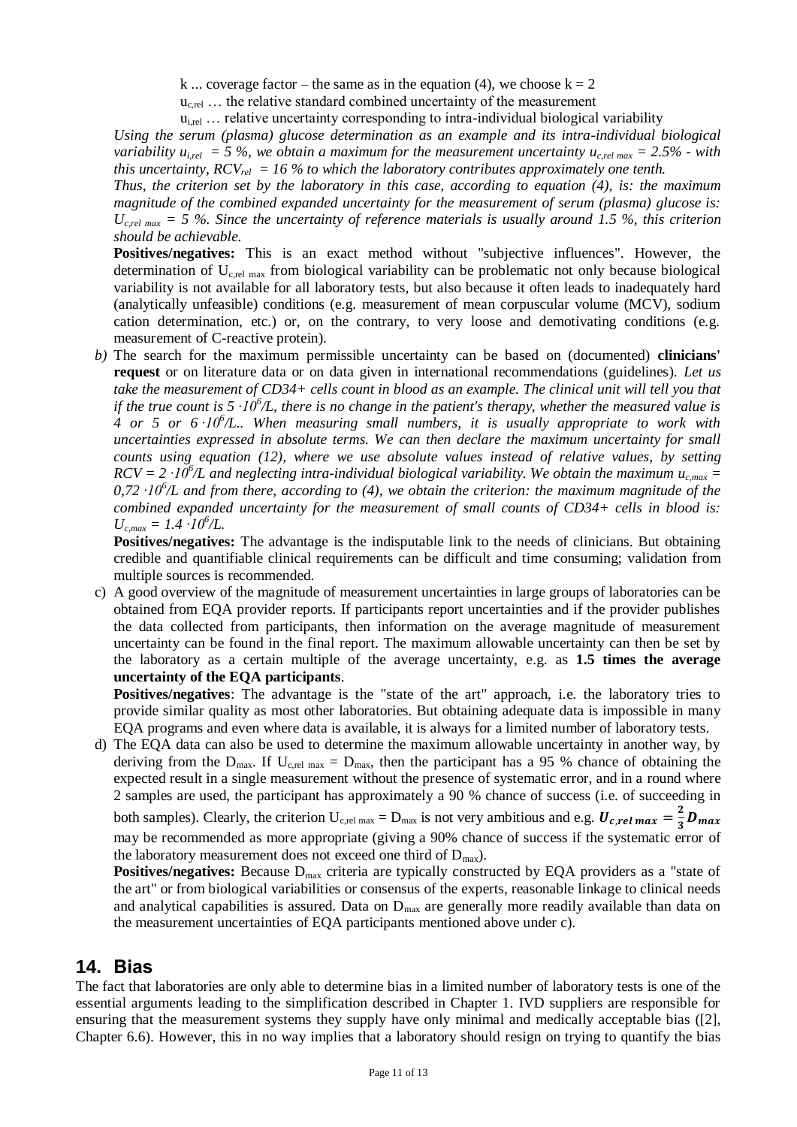k ... coverage factor – the same as in the equation (4), we choose  $k = 2$ 

 $u_{c,rel}$  ... the relative standard combined uncertainty of the measurement

 $u_{i,rel}$  ... relative uncertainty corresponding to intra-individual biological variability

*Using the serum (plasma) glucose determination as an example and its intra-individual biological variability*  $u_{i,rel} = 5\%$ , we obtain a maximum for the measurement uncertainty  $u_{c,rel,max} = 2.5\%$  - with *this uncertainty, RCVrel = 16 % to which the laboratory contributes approximately one tenth.*

*Thus, the criterion set by the laboratory in this case, according to equation (4), is: the maximum magnitude of the combined expanded uncertainty for the measurement of serum (plasma) glucose is:*   $U_{c,rel,max}$  = 5 %. Since the uncertainty of reference materials is usually around 1.5 %, this criterion *should be achievable.*

**Positives/negatives:** This is an exact method without "subjective influences". However, the determination of  $U_{c,rel,max}$  from biological variability can be problematic not only because biological variability is not available for all laboratory tests, but also because it often leads to inadequately hard (analytically unfeasible) conditions (e.g. measurement of mean corpuscular volume (MCV), sodium cation determination, etc.) or, on the contrary, to very loose and demotivating conditions (e.g. measurement of C-reactive protein).

*b)* The search for the maximum permissible uncertainty can be based on (documented) **clinicians' request** or on literature data or on data given in international recommendations (guidelines). *Let us take the measurement of CD34+ cells count in blood as an example. The clinical unit will tell you that if the true count is 5*  $\cdot 10^6$ */L, there is no change in the patient's therapy, whether the measured value is 4 or 5 or 6 ·10<sup>6</sup> /L.. When measuring small numbers, it is usually appropriate to work with uncertainties expressed in absolute terms. We can then declare the maximum uncertainty for small counts using equation (12), where we use absolute values instead of relative values, by setting*   $RCV = 2 \cdot 10^6/L$  and neglecting intra-individual biological variability. We obtain the maximum  $u_{c,max} =$  $0.72 \cdot 10^{6}/L$  and from there, according to (4), we obtain the criterion: the maximum magnitude of the *combined expanded uncertainty for the measurement of small counts of CD34+ cells in blood is:*   $U_{c,max} = 1.4 \cdot 10^{6}$ /L.

**Positives/negatives:** The advantage is the indisputable link to the needs of clinicians. But obtaining credible and quantifiable clinical requirements can be difficult and time consuming; validation from multiple sources is recommended.

c) A good overview of the magnitude of measurement uncertainties in large groups of laboratories can be obtained from EQA provider reports. If participants report uncertainties and if the provider publishes the data collected from participants, then information on the average magnitude of measurement uncertainty can be found in the final report. The maximum allowable uncertainty can then be set by the laboratory as a certain multiple of the average uncertainty, e.g. as **1.5 times the average uncertainty of the EQA participants**.

**Positives/negatives**: The advantage is the "state of the art" approach, i.e. the laboratory tries to provide similar quality as most other laboratories. But obtaining adequate data is impossible in many EQA programs and even where data is available, it is always for a limited number of laboratory tests.

d) The EQA data can also be used to determine the maximum allowable uncertainty in another way, by deriving from the  $D_{max}$ . If  $U_{c,rel,max} = D_{max}$ , then the participant has a 95 % chance of obtaining the expected result in a single measurement without the presence of systematic error, and in a round where 2 samples are used, the participant has approximately a 90 % chance of success (i.e. of succeeding in both samples). Clearly, the criterion  $U_{c,rel, max} = D_{max}$  is not very ambitious and e.g.  $U_{c,rel, max} = \frac{2}{3}$  $rac{2}{3}D_{max}$ may be recommended as more appropriate (giving a 90% chance of success if the systematic error of the laboratory measurement does not exceed one third of  $D_{\text{max}}$ ).

**Positives/negatives:** Because D<sub>max</sub> criteria are typically constructed by EQA providers as a "state of the art" or from biological variabilities or consensus of the experts, reasonable linkage to clinical needs and analytical capabilities is assured. Data on  $D_{\text{max}}$  are generally more readily available than data on the measurement uncertainties of EQA participants mentioned above under c).

#### <span id="page-10-0"></span>**14. Bias**

The fact that laboratories are only able to determine bias in a limited number of laboratory tests is one of the essential arguments leading to the simplification described in Chapter 1. IVD suppliers are responsible for ensuring that the measurement systems they supply have only minimal and medically acceptable bias ([2], Chapter 6.6). However, this in no way implies that a laboratory should resign on trying to quantify the bias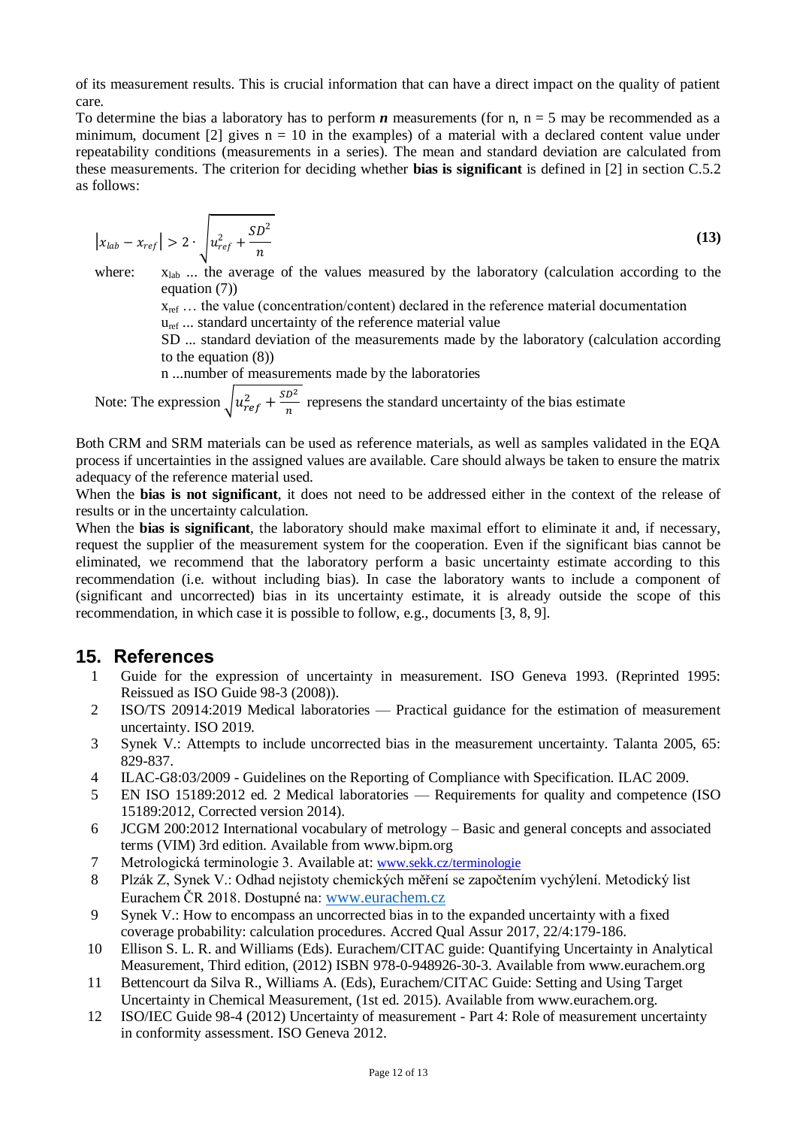of its measurement results. This is crucial information that can have a direct impact on the quality of patient care.

To determine the bias a laboratory has to perform  $n$  measurements (for n,  $n = 5$  may be recommended as a minimum, document [2] gives  $n = 10$  in the examples) of a material with a declared content value under repeatability conditions (measurements in a series). The mean and standard deviation are calculated from these measurements. The criterion for deciding whether **bias is significant** is defined in [2] in section C.5.2 as follows:

$$
|x_{lab} - x_{ref}| > 2 \cdot \sqrt{u_{ref}^2 + \frac{SD^2}{n}}
$$
 (13)

where:  $x_{lab}$  ... the average of the values measured by the laboratory (calculation according to the equation (7))

 $x_{ref}$  ... the value (concentration/content) declared in the reference material documentation

u<sub>ref</sub> ... standard uncertainty of the reference material value

SD ... standard deviation of the measurements made by the laboratory (calculation according to the equation (8))

n ...number of measurements made by the laboratories

Note: The expression  $\sqrt{u_{ref}^2 + \frac{SD^2}{n}}$  $\frac{b}{n}$  represens the standard uncertainty of the bias estimate

Both CRM and SRM materials can be used as reference materials, as well as samples validated in the EQA process if uncertainties in the assigned values are available. Care should always be taken to ensure the matrix adequacy of the reference material used.

When the **bias is not significant**, it does not need to be addressed either in the context of the release of results or in the uncertainty calculation.

When the **bias is significant**, the laboratory should make maximal effort to eliminate it and, if necessary, request the supplier of the measurement system for the cooperation. Even if the significant bias cannot be eliminated, we recommend that the laboratory perform a basic uncertainty estimate according to this recommendation (i.e. without including bias). In case the laboratory wants to include a component of (significant and uncorrected) bias in its uncertainty estimate, it is already outside the scope of this recommendation, in which case it is possible to follow, e.g., documents [3, 8, 9].

#### <span id="page-11-0"></span>**15. References**

- 1 Guide for the expression of uncertainty in measurement. ISO Geneva 1993. (Reprinted 1995: Reissued as ISO Guide 98-3 (2008)).
- 2 ISO/TS 20914:2019 Medical laboratories Practical guidance for the estimation of measurement uncertainty. ISO 2019.
- 3 Synek V.: Attempts to include uncorrected bias in the measurement uncertainty. Talanta 2005, 65: 829-837.
- 4 ILAC-G8:03/2009 Guidelines on the Reporting of Compliance with Specification. ILAC 2009.
- 5 EN ISO 15189:2012 ed. 2 Medical laboratories Requirements for quality and competence (ISO 15189:2012, Corrected version 2014).
- 6 JCGM 200:2012 International vocabulary of metrology Basic and general concepts and associated terms (VIM) 3rd edition. Available from www.bipm.org
- 7 Metrologická terminologie 3. Available at: [www.sekk.cz/terminologie](http://www.sekk.cz/terminologie)
- 8 Plzák Z, Synek V.: Odhad nejistoty chemických měření se započtením vychýlení. Metodický list Eurachem ČR 2018. Dostupné na: [www.eurachem.cz](http://www.eurachem.cz/)
- 9 Synek V.: How to encompass an uncorrected bias in to the expanded uncertainty with a fixed coverage probability: calculation procedures. Accred Qual Assur 2017, 22/4:179-186.
- 10 Ellison S. L. R. and Williams (Eds). Eurachem/CITAC guide: Quantifying Uncertainty in Analytical Measurement, Third edition, (2012) ISBN 978-0-948926-30-3. Available from www.eurachem.org
- 11 Bettencourt da Silva R., Williams A. (Eds), Eurachem/CITAC Guide: Setting and Using Target Uncertainty in Chemical Measurement, (1st ed. 2015). Available from www.eurachem.org.
- 12 ISO/IEC Guide 98-4 (2012) Uncertainty of measurement Part 4: Role of measurement uncertainty in conformity assessment. ISO Geneva 2012.